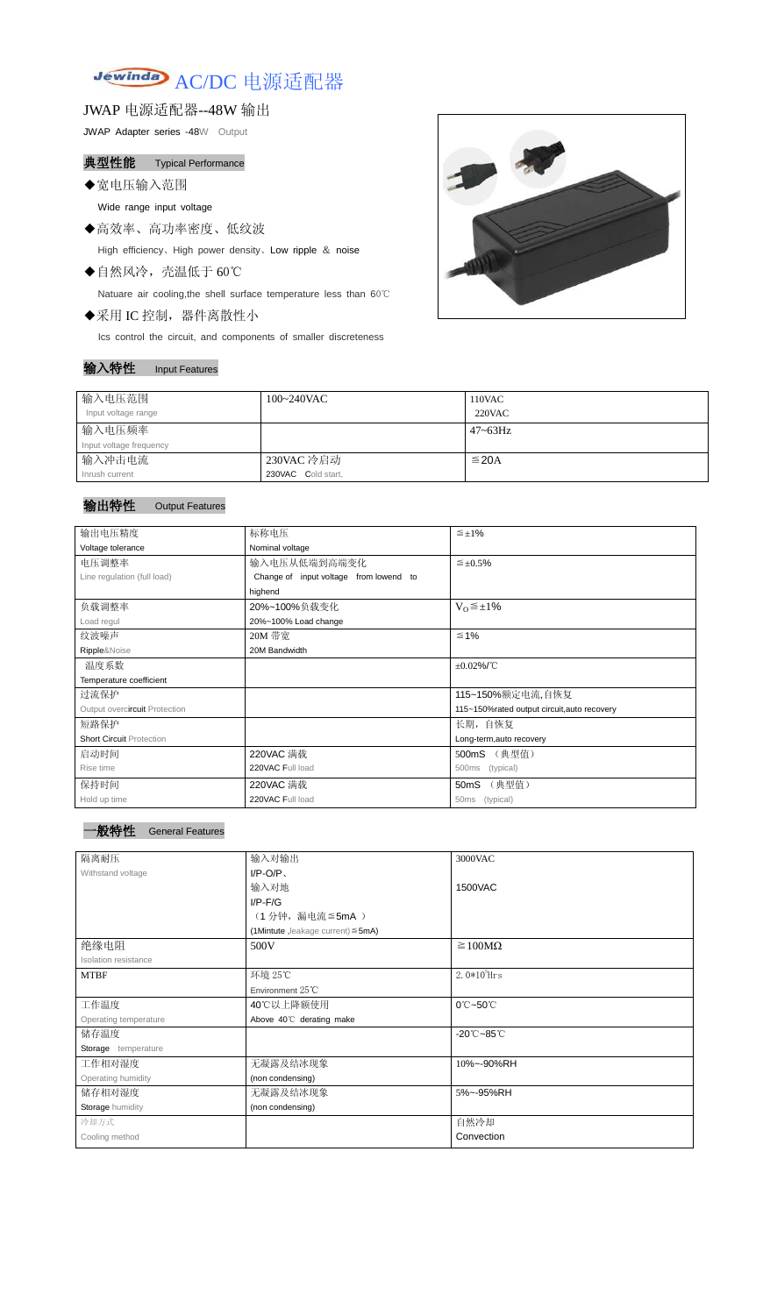# Jewinda AC/DC 电源适配器

JWAP 电源适配器--48W 输出

JWAP Adapter series -48W Output

典型性能 Typical Performance

◆宽电压输入范围

Wide range input voltage

- ◆高效率、高功率密度、低纹波 High efficiency、High power density、Low ripple & noise
- ◆自然风冷,壳温低于 60℃

Natuare air cooling,the shell surface temperature less than 60℃

◆采用 IC 控制,器件离散性小

Ics control the circuit, and components of smaller discreteness

## 输入特性 Input Features



| 输入电压范围                  | $100~240$ VAC      | 110VAC       |
|-------------------------|--------------------|--------------|
| Input voltage range     |                    | $220$ VAC    |
| 输入电压频率                  |                    | $47 - 63$ Hz |
| Input voltage frequency |                    |              |
| 输入冲击电流                  | 230VAC 冷启动         | $\leq$ 20A   |
| Inrush current          | 230VAC Cold start, |              |

# 输出特性 Output Features



| 输出电压精度                          | 标称电压                                        | $\leq \pm 1\%$             |  |  |
|---------------------------------|---------------------------------------------|----------------------------|--|--|
| Voltage tolerance               | Nominal voltage                             |                            |  |  |
| 电压调整率                           | 输入电压从低端到高端变化                                | $\leq \pm 0.5\%$           |  |  |
| Line regulation (full load)     | Change of input voltage from lowend to      |                            |  |  |
|                                 | highend                                     |                            |  |  |
| 负载调整率                           | $V_0 \leq \pm 1\%$<br>20%~100%负载变化          |                            |  |  |
| Load regul                      | 20%~100% Load change                        |                            |  |  |
| 纹波噪声                            | 20M 带宽                                      | $≤ 1%$                     |  |  |
| Ripple&Noise                    | 20M Bandwidth                               |                            |  |  |
| 温度系数                            | $\pm 0.02\%$ /°C                            |                            |  |  |
| Temperature coefficient         |                                             |                            |  |  |
| 过流保护                            | 115~150%额定电流,自恢复                            |                            |  |  |
| Output overcircuit Protection   | 115~150%rated output circuit, auto recovery |                            |  |  |
| 短路保护                            | 长期, 自恢复                                     |                            |  |  |
| <b>Short Circuit Protection</b> |                                             | Long-term, auto recovery   |  |  |
| 启动时间                            | 220VAC 满载                                   | (典型值)<br>500mS             |  |  |
| Rise time                       | 220VAC Full load                            | (typical)<br>500ms         |  |  |
| 保持时间                            | 220VAC 满载                                   | (典型值)<br>50 <sub>m</sub> S |  |  |
| Hold up time                    | 220VAC Full load                            | 50ms<br>(typical)          |  |  |

| 隔离耐压                        | 输入对输出                                   | 3000VAC                          |  |  |
|-----------------------------|-----------------------------------------|----------------------------------|--|--|
| Withstand voltage           | $I/P-O/P$                               |                                  |  |  |
|                             | 输入对地                                    | 1500VAC                          |  |  |
|                             | $I/P$ - $F/G$                           |                                  |  |  |
|                             | (1分钟,漏电流≦5mA)                           |                                  |  |  |
|                             | (1Mintute, leakage current) $\leq$ 5mA) |                                  |  |  |
| 绝缘电阻                        | $\geq 100M\Omega$<br>500V               |                                  |  |  |
| <b>Isolation resistance</b> |                                         |                                  |  |  |
| <b>MTBF</b>                 | 环境 25℃                                  | $2.0*105$ Hrs                    |  |  |
|                             | Environment $25^{\circ}$ C              |                                  |  |  |
| 工作温度                        | 40℃以上降额使用                               | $0^\circ$ C $\sim$ 50 $^\circ$ C |  |  |
| Operating temperature       | Above 40°C derating make                |                                  |  |  |
| 储存温度                        |                                         | $-20^{\circ}$ C $-85^{\circ}$ C  |  |  |
| Storage temperature         |                                         |                                  |  |  |
| 工作相对湿度                      | 无凝露及结冰现象                                | 10%~-90%RH                       |  |  |
| Operating humidity          | (non condensing)                        |                                  |  |  |
| 储存相对湿度                      | 无凝露及结冰现象                                | 5%~-95%RH                        |  |  |
| Storage humidity            | (non condensing)                        |                                  |  |  |
| 冷却方式                        |                                         | 自然冷却                             |  |  |
| Cooling method              |                                         | Convection                       |  |  |